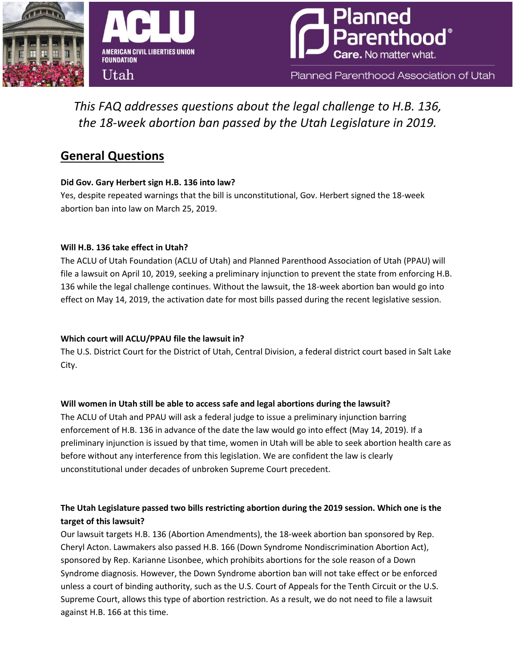



Planned Parenthood Association of Utah

# *This FAQ addresses questions about the legal challenge to H.B. 136, the 18-week abortion ban passed by the Utah Legislature in 2019.*

## **General Questions**

### **Did Gov. Gary Herbert sign H.B. 136 into law?**

Yes, despite repeated warnings that the bill is unconstitutional, Gov. Herbert signed the 18-week abortion ban into law on March 25, 2019.

### **Will H.B. 136 take effect in Utah?**

The ACLU of Utah Foundation (ACLU of Utah) and Planned Parenthood Association of Utah (PPAU) will file a lawsuit on April 10, 2019, seeking a preliminary injunction to prevent the state from enforcing H.B. 136 while the legal challenge continues. Without the lawsuit, the 18-week abortion ban would go into effect on May 14, 2019, the activation date for most bills passed during the recent legislative session.

## **Which court will ACLU/PPAU file the lawsuit in?**

The U.S. District Court for the District of Utah, Central Division, a federal district court based in Salt Lake City.

## **Will women in Utah still be able to access safe and legal abortions during the lawsuit?**

The ACLU of Utah and PPAU will ask a federal judge to issue a preliminary injunction barring enforcement of H.B. 136 in advance of the date the law would go into effect (May 14, 2019). If a preliminary injunction is issued by that time, women in Utah will be able to seek abortion health care as before without any interference from this legislation. We are confident the law is clearly unconstitutional under decades of unbroken Supreme Court precedent.

## **The Utah Legislature passed two bills restricting abortion during the 2019 session. Which one is the target of this lawsuit?**

Our lawsuit targets H.B. 136 (Abortion Amendments), the 18-week abortion ban sponsored by Rep. Cheryl Acton. Lawmakers also passed H.B. 166 (Down Syndrome Nondiscrimination Abortion Act), sponsored by Rep. Karianne Lisonbee, which prohibits abortions for the sole reason of a Down Syndrome diagnosis. However, the Down Syndrome abortion ban will not take effect or be enforced unless a court of binding authority, such as the U.S. Court of Appeals for the Tenth Circuit or the U.S. Supreme Court, allows this type of abortion restriction. As a result, we do not need to file a lawsuit against H.B. 166 at this time.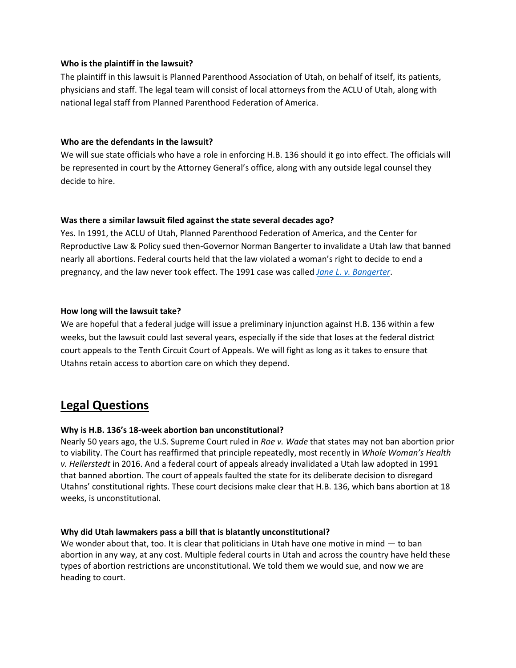### **Who is the plaintiff in the lawsuit?**

The plaintiff in this lawsuit is Planned Parenthood Association of Utah, on behalf of itself, its patients, physicians and staff. The legal team will consist of local attorneys from the ACLU of Utah, along with national legal staff from Planned Parenthood Federation of America.

### **Who are the defendants in the lawsuit?**

We will sue state officials who have a role in enforcing H.B. 136 should it go into effect. The officials will be represented in court by the Attorney General's office, along with any outside legal counsel they decide to hire.

### **Was there a similar lawsuit filed against the state several decades ago?**

Yes. In 1991, the ACLU of Utah, Planned Parenthood Federation of America, and the Center for Reproductive Law & Policy sued then-Governor Norman Bangerter to invalidate a Utah law that banned nearly all abortions. Federal courts held that the law violated a woman's right to decide to end a pregnancy, and the law never took effect. The 1991 case was called *[Jane L. v. Bangerter](https://caselaw.findlaw.com/us-10th-circuit/1277420.html)*.

### **How long will the lawsuit take?**

We are hopeful that a federal judge will issue a preliminary injunction against H.B. 136 within a few weeks, but the lawsuit could last several years, especially if the side that loses at the federal district court appeals to the Tenth Circuit Court of Appeals. We will fight as long as it takes to ensure that Utahns retain access to abortion care on which they depend.

## **Legal Questions**

### **Why is H.B. 136's 18-week abortion ban unconstitutional?**

Nearly 50 years ago, the U.S. Supreme Court ruled in *Roe v. Wade* that states may not ban abortion prior to viability. The Court has reaffirmed that principle repeatedly, most recently in *Whole Woman's Health v. Hellerstedt* in 2016. And a federal court of appeals already invalidated a Utah law adopted in 1991 that banned abortion. The court of appeals faulted the state for its deliberate decision to disregard Utahns' constitutional rights. These court decisions make clear that H.B. 136, which bans abortion at 18 weeks, is unconstitutional.

### **Why did Utah lawmakers pass a bill that is blatantly unconstitutional?**

We wonder about that, too. It is clear that politicians in Utah have one motive in mind — to ban abortion in any way, at any cost. Multiple federal courts in Utah and across the country have held these types of abortion restrictions are unconstitutional. We told them we would sue, and now we are heading to court.